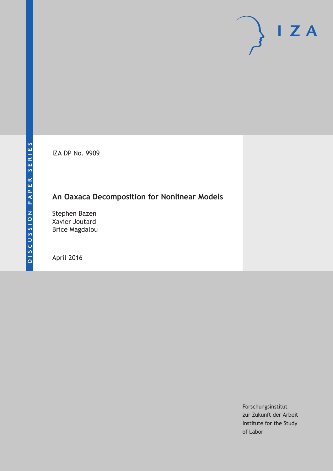IZA DP No. 9909

# **An Oaxaca Decomposition for Nonlinear Models**

Stephen Bazen Xavier Joutard Brice Magdalou

April 2016

Forschungsinstitut zur Zukunft der Arbeit Institute for the Study of Labor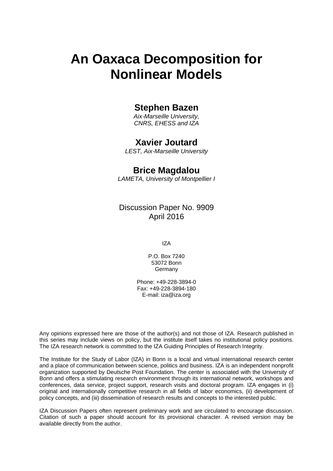# **An Oaxaca Decomposition for Nonlinear Models**

### **Stephen Bazen**

*Aix*‐*Marseille University, CNRS, EHESS and IZA* 

### **Xavier Joutard**

*LEST, Aix*‐*Marseille University* 

### **Brice Magdalou**

*LAMETA, University of Montpellier I*

Discussion Paper No. 9909 April 2016

IZA

P.O. Box 7240 53072 Bonn Germany

Phone: +49-228-3894-0 Fax: +49-228-3894-180 E-mail: iza@iza.org

Any opinions expressed here are those of the author(s) and not those of IZA. Research published in this series may include views on policy, but the institute itself takes no institutional policy positions. The IZA research network is committed to the IZA Guiding Principles of Research Integrity.

The Institute for the Study of Labor (IZA) in Bonn is a local and virtual international research center and a place of communication between science, politics and business. IZA is an independent nonprofit organization supported by Deutsche Post Foundation. The center is associated with the University of Bonn and offers a stimulating research environment through its international network, workshops and conferences, data service, project support, research visits and doctoral program. IZA engages in (i) original and internationally competitive research in all fields of labor economics, (ii) development of policy concepts, and (iii) dissemination of research results and concepts to the interested public.

IZA Discussion Papers often represent preliminary work and are circulated to encourage discussion. Citation of such a paper should account for its provisional character. A revised version may be available directly from the author.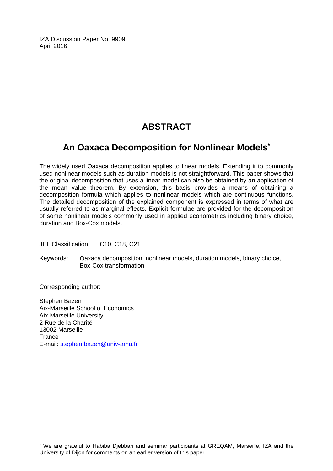IZA Discussion Paper No. 9909 April 2016

# **ABSTRACT**

# **An Oaxaca Decomposition for Nonlinear Models\***

The widely used Oaxaca decomposition applies to linear models. Extending it to commonly used nonlinear models such as duration models is not straightforward. This paper shows that the original decomposition that uses a linear model can also be obtained by an application of the mean value theorem. By extension, this basis provides a means of obtaining a decomposition formula which applies to nonlinear models which are continuous functions. The detailed decomposition of the explained component is expressed in terms of what are usually referred to as marginal effects. Explicit formulae are provided for the decomposition of some nonlinear models commonly used in applied econometrics including binary choice, duration and Box‐Cox models.

JEL Classification: C10, C18, C21

Keywords: Oaxaca decomposition, nonlinear models, duration models, binary choice, Box‐Cox transformation

Corresponding author:

 $\overline{\phantom{a}}$ 

Stephen Bazen Aix‐Marseille School of Economics Aix‐Marseille University 2 Rue de la Charité 13002 Marseille France E-mail: stephen.bazen@univ‐amu.fr

<sup>\*</sup> We are grateful to Habiba Djebbari and seminar participants at GREQAM, Marseille, IZA and the University of Dijon for comments on an earlier version of this paper.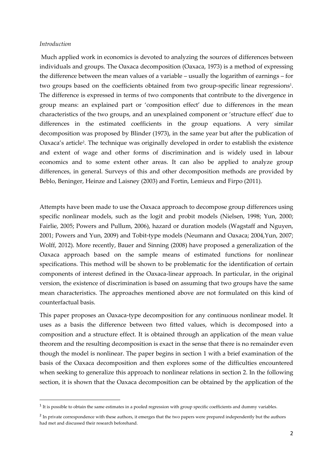#### *Introduction*

Much applied work in economics is devoted to analyzing the sources of differences between individuals and groups. The Oaxaca decomposition (Oaxaca, 1973) is a method of expressing the difference between the mean values of a variable – usually the logarithm of earnings – for two groups based on the coefficients obtained from two group-specific linear regressions<sup>1</sup>. The difference is expressed in terms of two components that contribute to the divergence in group means: an explained part or 'composition effect' due to differences in the mean characteristics of the two groups, and an unexplained component or 'structure effect' due to differences in the estimated coefficients in the group equations. A very similar decomposition was proposed by Blinder (1973), in the same year but after the publication of Oaxaca's article2. The technique was originally developed in order to establish the existence and extent of wage and other forms of discrimination and is widely used in labour economics and to some extent other areas. It can also be applied to analyze group differences, in general. Surveys of this and other decomposition methods are provided by Beblo, Beninger, Heinze and Laisney (2003) and Fortin, Lemieux and Firpo (2011).

Attempts have been made to use the Oaxaca approach to decompose group differences using specific nonlinear models, such as the logit and probit models (Nielsen, 1998; Yun, 2000; Fairlie, 2005; Powers and Pullum, 2006), hazard or duration models (Wagstaff and Nguyen, 2001; Powers and Yun, 2009) and Tobit‐type models (Neumann and Oaxaca; 2004,Yun, 2007; Wolff, 2012). More recently, Bauer and Sinning (2008) have proposed a generalization of the Oaxaca approach based on the sample means of estimated functions for nonlinear specifications. This method will be shown to be problematic for the identification of certain components of interest defined in the Oaxaca-linear approach. In particular, in the original version, the existence of discrimination is based on assuming that two groups have the same mean characteristics. The approaches mentioned above are not formulated on this kind of counterfactual basis.

This paper proposes an Oaxaca-type decomposition for any continuous nonlinear model. It uses as a basis the difference between two fitted values, which is decomposed into a composition and a structure effect. It is obtained through an application of the mean value theorem and the resulting decomposition is exact in the sense that there is no remainder even though the model is nonlinear. The paper begins in section 1 with a brief examination of the basis of the Oaxaca decomposition and then explores some of the difficulties encountered when seeking to generalize this approach to nonlinear relations in section 2. In the following section, it is shown that the Oaxaca decomposition can be obtained by the application of the

 $1$  It is possible to obtain the same estimates in a pooled regression with group specific coefficients and dummy variables.

<sup>&</sup>lt;sup>2</sup> In private correspondence with these authors, it emerges that the two papers were prepared independently but the authors had met and discussed their research beforehand.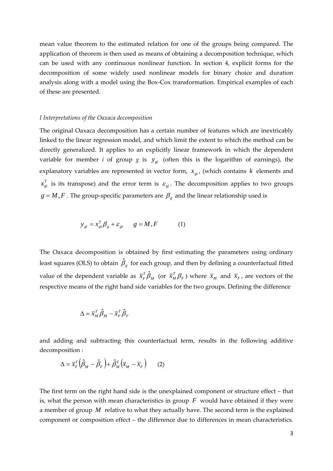mean value theorem to the estimated relation for one of the groups being compared. The application of theorem is then used as means of obtaining a decomposition technique, which can be used with any continuous nonlinear function. In section 4, explicit forms for the decomposition of some widely used nonlinear models for binary choice and duration analysis along with a model using the Box‐Cox transformation. Empirical examples of each of these are presented.

#### *I Interpretations of the Oaxaca decomposition*

The original Oaxaca decomposition has a certain number of features which are inextricably linked to the linear regression model, and which limit the extent to which the method can be directly generalized. It applies to an explicitly linear framework in which the dependent variable for member *i* of group *g* is  $y_{gi}$  (often this is the logarithm of earnings), the explanatory variables are represented in vector form,  $x_{qi}$ , (which contains  $k$  elements and  $x_{gi}^T$  is its transpose) and the error term is  $\varepsilon_{gi}$ . The decomposition applies to two groups  $g = M, F$ . The group-specific parameters are  $\beta_g$  and the linear relationship used is

$$
y_{gi} = x_{gi}^T \beta_g + \varepsilon_{gi} \qquad g = M, F \tag{1}
$$

The Oaxaca decomposition is obtained by first estimating the parameters using ordinary least squares (OLS) to obtain  $\hat{\beta}_{_S}$  for each group, and then by defining a counterfactual fitted value of the dependent variable as  $\bar{x}_F^T \hat{\beta}_M$  (or  $\bar{x}_M^T \beta_F$ ) where  $\bar{x}_M$  and  $\bar{x}_F$ , are vectors of the respective means of the right hand side variables for the two groups. Defining the difference

$$
\Delta = \overline{x}_M^T \hat{\beta}_M - \overline{x}_F^T \hat{\beta}_F
$$

and adding and subtracting this counterfactual term, results in the following additive decomposition :

$$
\Delta = \overline{x}_F^T \left( \hat{\beta}_M - \hat{\beta}_F \right) + \hat{\beta}_M^T \left( \overline{x}_M - \overline{x}_F \right) \tag{2}
$$

The first term on the right hand side is the unexplained component or structure effect – that is, what the person with mean characteristics in group  $F$  would have obtained if they were a member of group *M* relative to what they actually have. The second term is the explained component or composition effect – the difference due to differences in mean characteristics.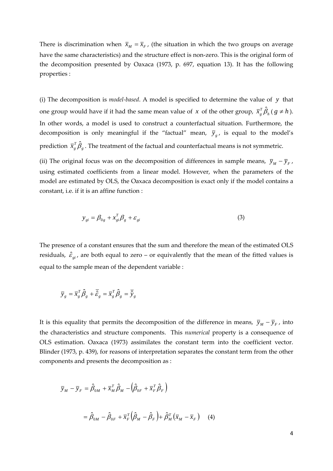There is discrimination when  $\bar{x}_M = \bar{x}_F$ , (the situation in which the two groups on average have the same characteristics) and the structure effect is non-zero. This is the original form of the decomposition presented by Oaxaca (1973, p. 697, equation 13). It has the following properties :

(i) The decomposition is *model‐based*. A model is specified to determine the value of *y* that one group would have if it had the same mean value of *x* of the other group,  $\bar{x}_g^T \hat{\beta}_h$  (  $g \neq h$  ). In other words, a model is used to construct a counterfactual situation. Furthermore, the decomposition is only meaningful if the "factual" mean,  $\bar{y}_e$ , is equal to the model's prediction  $\bar{x}_{s}^{T}\hat{\beta}_{s}$  . The treatment of the factual and counterfactual means is not symmetric.

(ii) The original focus was on the decomposition of differences in sample means,  $\bar{y}_M - \bar{y}_F$ , using estimated coefficients from a linear model. However, when the parameters of the model are estimated by OLS, the Oaxaca decomposition is exact only if the model contains a constant, i.e. if it is an affine function :

$$
y_{gi} = \beta_{0g} + x_{gi}^T \beta_g + \varepsilon_{gi} \tag{3}
$$

The presence of a constant ensures that the sum and therefore the mean of the estimated OLS residuals,  $\hat{\varepsilon}_{gi}$ , are both equal to zero – or equivalently that the mean of the fitted values is equal to the sample mean of the dependent variable :

$$
\overline{y}_g = \overline{x}_g^T \hat{\beta}_g + \overline{\hat{\mathcal{E}}}_g = \overline{x}_g^T \hat{\beta}_g = \overline{\hat{y}}_g
$$

It is this equality that permits the decomposition of the difference in means,  $\bar{y}_M - \bar{y}_F$ , into the characteristics and structure components. This *numerical* property is a consequence of OLS estimation. Oaxaca (1973) assimilates the constant term into the coefficient vector. Blinder (1973, p. 439), for reasons of interpretation separates the constant term from the other components and presents the decomposition as :

$$
\overline{y}_M - \overline{y}_F = \hat{\beta}_{0M} + \overline{x}_M^T \hat{\beta}_M - (\hat{\beta}_{0F} + \overline{x}_F^T \hat{\beta}_F)
$$

$$
= \hat{\beta}_{0M} - \hat{\beta}_{0F} + \overline{x}_F^T (\hat{\beta}_M - \hat{\beta}_F) + \hat{\beta}_M^T (\overline{x}_M - \overline{x}_F) \quad (4)
$$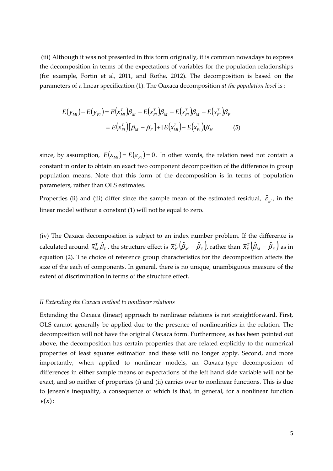(iii) Although it was not presented in this form originally, it is common nowadays to express the decomposition in terms of the expectations of variables for the population relationships (for example, Fortin et al, 2011, and Rothe, 2012). The decomposition is based on the parameters of a linear specification (1). The Oaxaca decomposition *at the population level* is :

$$
E(y_{Mi}) - E(y_{Fi}) = E(x_{Mi}^T) \beta_M - E(x_{Fi}^T) \beta_M + E(x_{Fi}^T) \beta_M - E(x_{Fi}^T) \beta_F
$$
  
= 
$$
E(x_{Fi}^T) [\beta_M - \beta_F] + [E(x_{Mi}^T) - E(x_{Fi}^T)] \beta_M
$$
 (5)

since, by assumption,  $E(\varepsilon_{mi}) = E(\varepsilon_{Fi}) = 0$ . In other words, the relation need not contain a constant in order to obtain an exact two component decomposition of the difference in group population means. Note that this form of the decomposition is in terms of population parameters, rather than OLS estimates.

Properties (ii) and (iii) differ since the sample mean of the estimated residual,  $\hat{\varepsilon}_{gi}$ , in the linear model without a constant (1) will not be equal to zero.

(iv) The Oaxaca decomposition is subject to an index number problem. If the difference is calculated around  $\bar{x}_M^T\hat{\beta}_F$  , the structure effect is  $\bar{x}_M^T\big(\hat\beta_M-\hat\beta_F\big)$ , rather than  $\bar{x}_F^T\big(\hat\beta_M-\hat\beta_F\big)$  as in equation (2). The choice of reference group characteristics for the decomposition affects the size of the each of components. In general, there is no unique, unambiguous measure of the extent of discrimination in terms of the structure effect.

#### *II Extending the Oaxaca method to nonlinear relations*

Extending the Oaxaca (linear) approach to nonlinear relations is not straightforward. First, OLS cannot generally be applied due to the presence of nonlinearities in the relation. The decomposition will not have the original Oaxaca form. Furthermore, as has been pointed out above, the decomposition has certain properties that are related explicitly to the numerical properties of least squares estimation and these will no longer apply. Second, and more importantly, when applied to nonlinear models, an Oaxaca-type decomposition of differences in either sample means or expectations of the left hand side variable will not be exact, and so neither of properties (i) and (ii) carries over to nonlinear functions. This is due to Jensen's inequality, a consequence of which is that, in general, for a nonlinear function *v*(*x*) :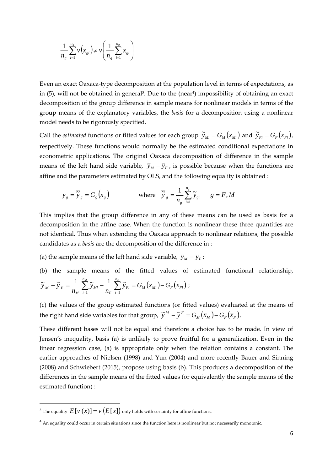$$
\frac{1}{n_g} \sum_{i=1}^{n_g} v(x_{gi}) \neq v \left( \frac{1}{n_g} \sum_{i=1}^{n_g} x_{gi} \right)
$$

Even an exact Oaxaca‐type decomposition at the population level in terms of expectations, as in (5), will not be obtained in general<sup>3</sup>. Due to the (near<sup>4</sup>) impossibility of obtaining an exact decomposition of the group difference in sample means for nonlinear models in terms of the group means of the explanatory variables, the *basis* for a decomposition using a nonlinear model needs to be rigorously specified.

Call the *estimated* functions or fitted values for each group  $\tilde{y}_{Mi} = G_M(x_{Mi})$  and  $\tilde{y}_{Fi} = G_F(x_{Fi})$ , respectively. These functions would normally be the estimated conditional expectations in econometric applications. The original Oaxaca decomposition of difference in the sample means of the left hand side variable,  $\bar{y}_M - \bar{y}_F$ , is possible because when the functions are affine and the parameters estimated by OLS, and the following equality is obtained :

$$
\overline{y}_g = \overline{\widetilde{y}}_g = G_g(\overline{x}_g)
$$
 where  $\overline{\widetilde{y}}_g = \frac{1}{n_g} \sum_{i=1}^{n_g} \widetilde{y}_{gi}$   $g = F, M$ 

This implies that the group difference in any of these means can be used as basis for a decomposition in the affine case. When the function is nonlinear these three quantities are not identical. Thus when extending the Oaxaca approach to nonlinear relations, the possible candidates as a *basis* are the decomposition of the difference in :

(a) the sample means of the left hand side variable,  $\bar{y}_M - \bar{y}_F$ ;

(b) the sample means of the fitted values of estimated functional relationship,  $H_M(x_{Mi})-G_F(x_{Fi})$ *n i Fi F n i Mi M*  $\widetilde{y}_{F} = \frac{1}{n_{M}} \sum_{i=1}^{N} \widetilde{y}_{Mi} - \frac{1}{n_{F}} \sum_{i=1}^{N} \widetilde{y}_{Fi} = G_{M}(x_{Mi}) - G_{F}(x_{Mi})$ *y n*  $\overline{\widetilde{y}}_M - \overline{\widetilde{y}}_F = \frac{1}{n_M} \sum_{i=1}^{n_M} \widetilde{y}_{Mi} - \frac{1}{n_F} \sum_{i=1}^{n_F} \widetilde{y}_{Fi} = \overline{G_M(x_{Mi})} - \overline{G_F(x_{Fi})} ;$ 

(c) the values of the group estimated functions (or fitted values) evaluated at the means of the right hand side variables for that group,  $\widetilde{y}^M - \widetilde{y}^F = G_M(\overline{x}_M) - G_F(\overline{x}_F)$ .

These different bases will not be equal and therefore a choice has to be made. In view of Jensen's inequality, basis (a) is unlikely to prove fruitful for a generalization. Even in the linear regression case, (a) is appropriate only when the relation contains a constant. The earlier approaches of Nielsen (1998) and Yun (2004) and more recently Bauer and Sinning (2008) and Schwiebert (2015), propose using basis (b). This produces a decomposition of the differences in the sample means of the fitted values (or equivalently the sample means of the estimated function) :

<sup>&</sup>lt;sup>3</sup> The equality  $E[V(x)] = v(E[x])$  only holds with certainty for affine functions.

<sup>&</sup>lt;sup>4</sup> An equality could occur in certain situations since the function here is nonlinear but not necessarily monotonic.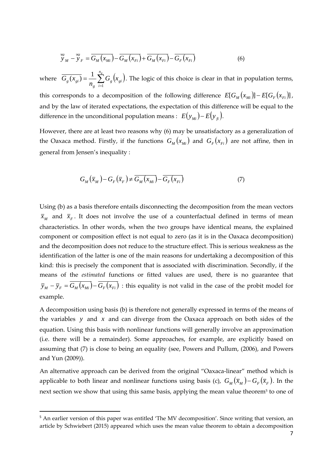$$
\overline{\widetilde{y}}_M - \overline{\widetilde{y}}_F = \overline{G_M(x_{Mi})} - \overline{G_M(x_{Fi})} + \overline{G_M(x_{Fi})} - \overline{G_F(x_{Fi})}
$$
(6)

where  $\overline{G_g(x_{gi})} = \frac{1}{n_g} \sum_{i=1}^{n} G_g(x_{gi})$  $n_g$ *i*  $g \vee g$ *i g*  $G_g(x_{gi}) = \frac{1}{n_g} \sum_{i=1}^{n} G_g(x_i)$  $G_{\alpha}(x)$ 1  $\overline{(x_{ei})} = \frac{1}{2} \sum_{i=1}^{n_g} G_{\overline{g}}(x_{ei})$ . The logic of this choice is clear in that in population terms, this corresponds to a decomposition of the following difference  $E[G_{M}(x_{Mi})] - E[G_{F}(x_{Fi})]$ , and by the law of iterated expectations, the expectation of this difference will be equal to the difference in the unconditional population means :  $E(y_{Mi}) - E(y_{fi})$ .

However, there are at least two reasons why (6) may be unsatisfactory as a generalization of the Oaxaca method. Firstly, if the functions  $G_M(x_M)$  and  $G_F(x_F)$  are not affine, then in general from Jensen's inequality :

$$
G_M(\overline{x}_M) - G_F(\overline{x}_F) \neq \overline{G_M(x_M)} - \overline{G_F(x_{Fi})}
$$
\n<sup>(7)</sup>

Using (b) as a basis therefore entails disconnecting the decomposition from the mean vectors  $\bar{x}_M$  and  $\bar{x}_F$ . It does not involve the use of a counterfactual defined in terms of mean characteristics. In other words, when the two groups have identical means, the explained component or composition effect is not equal to zero (as it is in the Oaxaca decomposition) and the decomposition does not reduce to the structure effect. This is serious weakness as the identification of the latter is one of the main reasons for undertaking a decomposition of this kind: this is precisely the component that is associated with discrimination. Secondly, if the means of the *estimated* functions or fitted values are used, there is no guarantee that  $\overline{y}_M - \overline{y}_F = \overline{G_M(x_{Mi})} - \overline{G_F(x_{Fi})}$  : this equality is not valid in the case of the probit model for example.

A decomposition using basis (b) is therefore not generally expressed in terms of the means of the variables *y* and *x* and can diverge from the Oaxaca approach on both sides of the equation. Using this basis with nonlinear functions will generally involve an approximation (i.e. there will be a remainder). Some approaches, for example, are explicitly based on assuming that (7) is close to being an equality (see, Powers and Pullum, (2006), and Powers and Yun (2009)).

An alternative approach can be derived from the original "Oaxaca-linear" method which is applicable to both linear and nonlinear functions using basis (c),  $G_M(\bar{x}_M) - G_F(\bar{x}_F)$ . In the next section we show that using this same basis, applying the mean value theorem<sup>5</sup> to one of

<sup>&</sup>lt;sup>5</sup> An earlier version of this paper was entitled 'The MV decomposition'. Since writing that version, an article by Schwiebert (2015) appeared which uses the mean value theorem to obtain a decomposition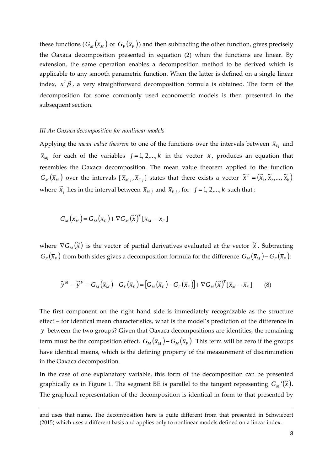these functions  $(G_M(\bar{x}_M)$  or  $G_F(\bar{x}_F)$ ) and then subtracting the other function, gives precisely the Oaxaca decomposition presented in equation (2) when the functions are linear. By extension, the same operation enables a decomposition method to be derived which is applicable to any smooth parametric function. When the latter is defined on a single linear index,  $x_i^T \beta$ , a very straightforward decomposition formula is obtained. The form of the decomposition for some commonly used econometric models is then presented in the subsequent section.

#### *III An Oaxaca decomposition for nonlinear models*

Applying the *mean value theorem* to one of the functions over the intervals between  $\bar{x}_{Fj}$  and  $\bar{x}_{Mi}$  for each of the variables  $j = 1, 2,..., k$  in the vector *x*, produces an equation that resembles the Oaxaca decomposition. The mean value theorem applied to the function  $G_M(\bar{x}_M)$  over the intervals  $[\bar{x}_{Mj}, \bar{x}_{Fj}]$  states that there exists a vector  $\tilde{x}^T = (\tilde{x}_1, \tilde{x}_2, ..., \tilde{x}_k)$ where  $\tilde{x}_j$  lies in the interval between  $\bar{x}_{Mj}$  and  $\bar{x}_{Fj}$ , for  $j = 1, 2, ..., k$  such that :

$$
G_M(\overline{x}_M) = G_M(\overline{x}_F) + \nabla G_M(\widetilde{x})^T [\overline{x}_M - \overline{x}_F]
$$

where  $\nabla G_{M}(\tilde{x})$  is the vector of partial derivatives evaluated at the vector  $\tilde{x}$ . Subtracting  $G_F(\bar{x}_F)$  from both sides gives a decomposition formula for the difference  $G_M(\bar{x}_M) - G_F(\bar{x}_F)$ :

$$
\widetilde{\mathbf{y}}^M - \widetilde{\mathbf{y}}^F \equiv G_M(\overline{x}_M) - G_F(\overline{x}_F) = [G_M(\overline{x}_F) - G_F(\overline{x}_F)] + \nabla G_M(\widetilde{\mathbf{x}})^T [\overline{x}_M - \overline{x}_F] \tag{8}
$$

The first component on the right hand side is immediately recognizable as the structure effect – for identical mean characteristics, what is the model's prediction of the difference in *y* between the two groups? Given that Oaxaca decompositions are identities, the remaining term must be the composition effect,  $G_M(\bar{x}_M) - G_M(\bar{x}_F)$ . This term will be zero if the groups have identical means, which is the defining property of the measurement of discrimination in the Oaxaca decomposition.

In the case of one explanatory variable, this form of the decomposition can be presented graphically as in Figure 1. The segment BE is parallel to the tangent representing  $G_M(\tilde{x})$ . The graphical representation of the decomposition is identical in form to that presented by

<u> Andrewski politika (za obrazu za obrazu za obrazu za obrazu za obrazu za obrazu za obrazu za obrazu za obrazu</u>

and uses that name. The decomposition here is quite different from that presented in Schwiebert (2015) which uses a different basis and applies only to nonlinear models defined on a linear index.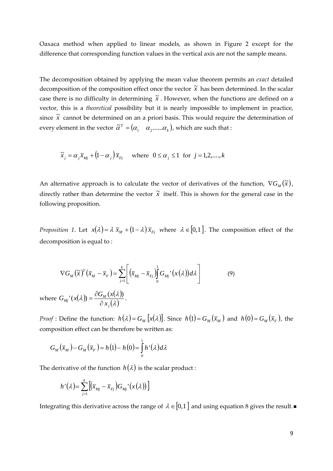Oaxaca method when applied to linear models, as shown in Figure 2 except for the difference that corresponding function values in the vertical axis are not the sample means.

The decomposition obtained by applying the mean value theorem permits an *exact* detailed decomposition of the composition effect once the vector  $\tilde{x}$  has been determined. In the scalar case there is no difficulty in determining  $\tilde{x}$ . However, when the functions are defined on a vector, this is a *theoretical* possibility but it is nearly impossible to implement in practice, since  $\tilde{x}$  cannot be determined on an a priori basis. This would require the determination of every element in the vector  $\tilde{\alpha}^{\scriptscriptstyle T}$  =  $(\alpha_{\scriptscriptstyle 1}$   $\alpha_{\scriptscriptstyle 2}$ ...... $\alpha_{\scriptscriptstyle k}$  ), which are such that :

$$
\tilde{x}_j = \alpha_j \overline{x}_{Mj} + (1 - \alpha_j) \overline{x}_{Fj}
$$
 where  $0 \le \alpha_j \le 1$  for  $j = 1, 2, \dots, k$ 

An alternative approach is to calculate the vector of derivatives of the function,  $\nabla G_{_M}(\widetilde{x})$ , directly rather than determine the vector  $\tilde{x}$  itself. This is shown for the general case in the following proposition.

*Proposition* 1. Let  $x(\lambda) = \lambda \overline{x}_M + (1 - \lambda) \overline{x}_F$  where  $\lambda \in [0,1]$ . The composition effect of the decomposition is equal to :

$$
\nabla G_M(\widetilde{x})^T (\overline{x}_M - \overline{x}_F) = \sum_{j=1}^k \left[ \left( \overline{x}_{Mj} - \overline{x}_{Fj} \right) \int_0^1 G_{Mj} (x(\lambda)) d\lambda \right] \tag{9}
$$

where  $G_{M_i} (x(\lambda)) = \frac{\partial G_M (x(\lambda))}{\partial x(\lambda)}$  $(\lambda)$  $\lambda$ ) =  $\frac{\partial G_M(x|\lambda)}{\partial \lambda}$ *j*  $\mu_{Mj}$ ' $(x(\lambda)) = \frac{\partial \mathcal{A}_M}{\partial x}$  $G_{\scriptscriptstyle{Mi}}(x(\lambda)) = \frac{\partial G_{\scriptscriptstyle{M}}(x)}{\partial x}$  $\partial$  $f(x(\lambda)) = \frac{\partial G_M(x(\lambda))}{\partial x(\lambda)}.$ 

*Proof*: Define the function:  $h(\lambda) = G_M[x(\lambda)]$ . Since  $h(1) = G_M(\overline{x}_M)$  and  $h(0) = G_M(\overline{x}_F)$ , the composition effect can be therefore be written as:

$$
G_M(\overline{x}_M) - G_M(\overline{x}_F) = h(1) - h(0) = \int_0^1 h'(\lambda) d\lambda
$$

The derivative of the function  $h(\lambda)$  is the scalar product :

$$
h\dot{}(\lambda) = \sum_{j=1}^k \big[ \big(\overline{x}_{Mj} - \overline{x}_{Fj}\big) G_{Mj}\dot{}(x(\lambda)) \big]
$$

Integrating this derivative across the range of  $\lambda \in [0,1]$  and using equation 8 gives the result.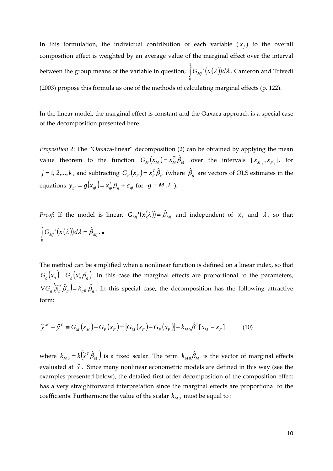In this formulation, the individual contribution of each variable  $(x_i)$  to the overall composition effect is weighted by an average value of the marginal effect over the interval between the group means of the variable in question,  $\int G_{Mj}$   $(x(\lambda))d\lambda$ 1 0  $\Gamma(x(\lambda))d\lambda$  . Cameron and Trivedi (2003) propose this formula as one of the methods of calculating marginal effects (p. 122).

In the linear model, the marginal effect is constant and the Oaxaca approach is a special case of the decomposition presented here.

*Proposition 2*: The "Oaxaca‐linear" decomposition (2) can be obtained by applying the mean value theorem to the function  $G_M(\bar{x}_M) = \bar{x}_M^T \hat{\beta}_M$  over the intervals  $[\bar{x}_{M,j}, \bar{x}_{F,j}]$ , for  $j=1,2,...,k$  , and subtracting  $G_F(\overline{x}_F)=\overline{x}_F^T\hat{\beta}_F$  (where  $\hat{\beta}_g$  are vectors of OLS estimates in the equations  $y_{gi} = g(x_{gi}) = x_{gi}^T \beta_g + \varepsilon_{gi}$  for  $g = M, F$ ).

*Proof*: If the model is linear,  $G_{Mj}$   $'(x(\lambda)) = \hat{\beta}_{Mj}$  and independent of  $x_j$  and  $\lambda$ , so that  $G_{Mj}$ <sup>*'*</sup> $(x(\lambda))d\lambda = \hat{\beta}_{Mj}$ 1 0  $\int G_{_{Mj}}^{\phantom{Mj}}\mathcal{C}(\lambda)\big)d\lambda=\hat{\beta}_{_{Mj}}\,.$ 

The method can be simplified when a nonlinear function is defined on a linear index, so that  $G_{g}(x_{g})$  =  $G_{g}(x_{g}^{T}\beta_{g})$ . In this case the marginal effects are proportional to the parameters,  $\nabla G_s\left(\tilde{x}_s^T\hat{\beta}_s\right)=k_{s0}\,\hat{\beta}_s$ . In this special case, the decomposition has the following attractive form:

$$
\widetilde{\mathbf{y}}^M - \widetilde{\mathbf{y}}^F \equiv G_M(\overline{x}_M) - G_F(\overline{x}_F) = [G_M(\overline{x}_F) - G_F(\overline{x}_F)] + k_{M0}\widehat{\beta}^T[\overline{x}_M - \overline{x}_F] \tag{10}
$$

where  $k_{M0} = k(\tilde{x}^T\hat{\beta}_M)$  is a fixed scalar. The term  $k_{M0}\hat{\beta}_M$  is the vector of marginal effects evaluated at  $\tilde{x}$ . Since many nonlinear econometric models are defined in this way (see the examples presented below), the detailed first order decomposition of the composition effect has a very straightforward interpretation since the marginal effects are proportional to the coefficients. Furthermore the value of the scalar  $k_{M0}$  must be equal to :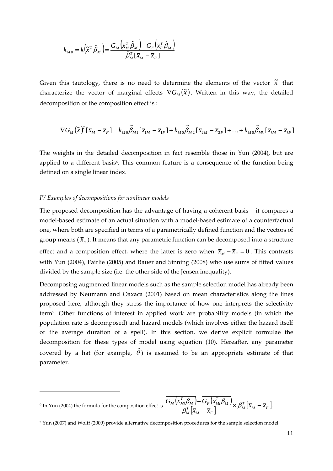$$
k_{M0} = k \left(\tilde{x}^T \hat{\beta}_M\right) = \frac{G_M \left(\overline{x}_M^T \hat{\beta}_M\right) - G_F \left(\overline{x}_F^T \hat{\beta}_M\right)}{\hat{\beta}_M^T \left[\overline{x}_M - \overline{x}_F\right]}
$$

Given this tautology, there is no need to determine the elements of the vector  $\tilde{x}$  that characterize the vector of marginal effects  $\nabla G_M(\tilde{x})$ . Written in this way, the detailed decomposition of the composition effect is :

$$
\nabla G_M\left(\widetilde{\boldsymbol{x}}\right)^T\left[\overline{x}_M-\overline{x}_F\right]=k_{M0}\widetilde{\beta}_{M1}\left[\overline{x}_{1M}-\overline{x}_{1F}\right]+k_{M0}\widetilde{\beta}_{M2}\left[\overline{x}_{2M}-\overline{x}_{2F}\right]+\ldots+k_{M0}\widetilde{\beta}_{Mk}\left[\overline{x}_{kM}-\overline{x}_{kF}\right]
$$

The weights in the detailed decomposition in fact resemble those in Yun (2004), but are applied to a different basis<sup>6</sup>. This common feature is a consequence of the function being defined on a single linear index.

#### *IV Examples of decompositions for nonlinear models*

The proposed decomposition has the advantage of having a coherent basis – it compares a model‐based estimate of an actual situation with a model‐based estimate of a counterfactual one, where both are specified in terms of a parametrically defined function and the vectors of group means ( $\bar{x}_e$ ). It means that any parametric function can be decomposed into a structure effect and a composition effect, where the latter is zero when  $\bar{x}_M - \bar{x}_F = 0$ . This contrasts with Yun (2004), Fairlie (2005) and Bauer and Sinning (2008) who use sums of fitted values divided by the sample size (i.e. the other side of the Jensen inequality).

Decomposing augmented linear models such as the sample selection model has already been addressed by Neumann and Oaxaca (2001) based on mean characteristics along the lines proposed here, although they stress the importance of how one interprets the selectivity term7. Other functions of interest in applied work are probability models (in which the population rate is decomposed) and hazard models (which involves either the hazard itself or the average duration of a spell). In this section, we derive explicit formulae the decomposition for these types of model using equation (10). Hereafter, any parameter covered by a hat (for example,  $\hat{\theta}$ ) is assumed to be an appropriate estimate of that parameter.

 $^6$  In Yun (2004) the formula for the composition effect is  $\frac{G_M\left(x_M^T\beta_M\right)-G_F\left(x_M^T\beta_M\right)}{\beta_M^T\left[\overline{x}_M-\overline{x}_F\right]}\times\beta_M^T\left[\overline{x}_M-\overline{x}_F\right]$ *M*  $_M - \lambda_F$ *T M M T*  $M \mid \nabla_F (M_i)$ *T*  $\frac{M}{N} \frac{(M_{M}P_{M})}{T} \frac{G_{F}(M_{M}P_{M})}{T} \times \beta_{M}^{T} |\overline{X}_{M} - \overline{X}_{M}|^{T}$  $\overline{x}_M - \overline{x}$  $\frac{G_{\scriptscriptstyle M}\left(\overline{x}_{\scriptscriptstyle M}^{\scriptscriptstyle T} \beta_{\scriptscriptstyle M}\right) - G_{\scriptscriptstyle F}\left(\overline{x}_{\scriptscriptstyle M}^{\scriptscriptstyle T} \beta_{\scriptscriptstyle M}\right)}{\beta_{\scriptscriptstyle M}^{\scriptscriptstyle T}\left[\overline{x}_{\scriptscriptstyle M}-\overline{x}_{\scriptscriptstyle F}\right]}\times \beta_{\scriptscriptstyle M}^{\scriptscriptstyle T}\left[\overline{x}_{\scriptscriptstyle M}-\overline{x}_{\scriptscriptstyle F}\right].$ 

<sup>7</sup> Yun (2007) and Wolff (2009) provide alternative decomposition procedures for the sample selection model.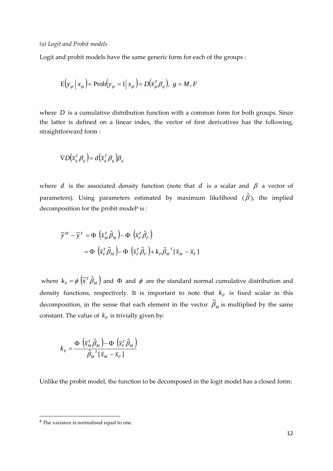Logit and probit models have the same generic form for each of the groups :

$$
\mathbf{E}\left(\mathbf{y}_{gi} \mid \mathbf{x}_{gi}\right) = \mathbf{Prob}\left(\mathbf{y}_{gi} = 1 \mid \mathbf{x}_{gi}\right) = D\left(\overline{\mathbf{x}}_{gi}^T \mathbf{\beta}_g\right), \ g = M, F
$$

where  $D$  is a cumulative distribution function with a common form for both groups. Since the latter is defined on a linear index, the vector of first derivatives has the following, straightforward form :

$$
\nabla D(\overline{x}_s^T \beta_s) = d(\overline{x}_s^T \beta_s) \beta_s
$$

where *d* is the associated density function (note that *d* is a scalar and  $\beta$  a vector of parameters). Using parameters estimated by maximum likelihood  $(\hat{\beta})$ , the implied decomposition for the probit model<sup>8</sup> is :

$$
\widetilde{y}^{M} - \widetilde{y}^{F} = \Phi \left( \overline{x}_{M}^{T} \hat{\beta}_{M} \right) - \Phi \left( \overline{x}_{F}^{T} \hat{\beta}_{F} \right)
$$

$$
= \Phi \left( \overline{x}_{F}^{T} \hat{\beta}_{M} \right) - \Phi \left( \overline{x}_{F}^{T} \hat{\beta}_{F} \right) + k_{P} \hat{\beta}_{M}^{T} \left[ \overline{x}_{M} - \overline{x}_{F} \right]
$$

where  $k_{_P}$  =  $\phi\left(\widetilde{x}^T\hat{\beta}_{_M}\right)$  and  $\Phi$  and  $\phi$  are the standard normal cumulative distribution and density functions, respectively. It is important to note that  $k_p$  is fixed scalar in this decomposition, in the sense that each element in the vector  $\widetilde{\beta}_M$  is multiplied by the same constant. The value of  $k_p$  is trivially given by:

$$
k_P = \frac{\Phi\left(\overline{x}_M^T \hat{\beta}_M\right) - \Phi\left(\overline{x}_F^T \hat{\beta}_M\right)}{\hat{\beta}_M^T \left[\overline{x}_M - \overline{x}_F\right]}
$$

Unlike the probit model, the function to be decomposed in the logit model has a closed form:

<sup>&</sup>lt;sup>8</sup> The variance is normalised equal to one.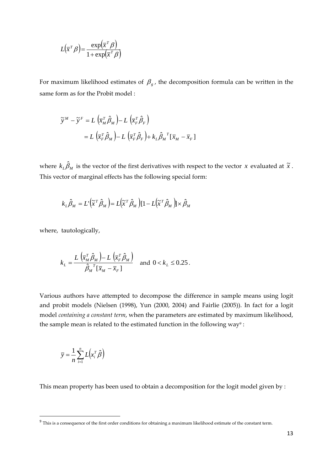$$
L(\overline{x}^T \beta) = \frac{\exp(\overline{x}^T \beta)}{1 + \exp(\overline{x}^T \beta)}
$$

For maximum likelihood estimates of  $\beta_g$ , the decomposition formula can be written in the same form as for the Probit model :

$$
\widetilde{y}^{M} - \widetilde{y}^{F} = L \left( \overline{x}_{M}^{T} \hat{\beta}_{M} \right) - L \left( \overline{x}_{F}^{T} \hat{\beta}_{F} \right)
$$
  

$$
= L \left( \overline{x}_{F}^{T} \hat{\beta}_{M} \right) - L \left( \overline{x}_{F}^{T} \hat{\beta}_{F} \right) + k_{L} \hat{\beta}_{M}^{T} \left[ \overline{x}_{M} - \overline{x}_{F} \right]
$$

where  $k_{\mu}\hat{\beta}_{M}$  is the vector of the first derivatives with respect to the vector *x* evaluated at  $\tilde{x}$ . This vector of marginal effects has the following special form:

$$
k_{L}\hat{\beta}_{M} = L^{'}(\tilde{x}^{T}\hat{\beta}_{M}) = L(\tilde{x}^{T}\hat{\beta}_{M})[1 - L(\tilde{x}^{T}\hat{\beta}_{M})] \times \hat{\beta}_{M}
$$

where, tautologically,

$$
k_L = \frac{L\left(\overline{x}_M^T \hat{\beta}_M\right) - L\left(\overline{x}_F^T \hat{\beta}_M\right)}{\hat{\beta}_M^T \left[\overline{x}_M - \overline{x}_F\right]} \text{ and } 0 < k_L \le 0.25 \, .
$$

Various authors have attempted to decompose the difference in sample means using logit and probit models (Nielsen (1998), Yun (2000, 2004) and Fairlie (2005)). In fact for a logit model *containing a constant term*, when the parameters are estimated by maximum likelihood, the sample mean is related to the estimated function in the following way<sup>9</sup>:

$$
\overline{y} = \frac{1}{n} \sum_{i=1}^{n} L(x_i^T \hat{\beta})
$$

This mean property has been used to obtain a decomposition for the logit model given by :

<sup>&</sup>lt;sup>9</sup> This is a consequence of the first order conditions for obtaining a maximum likelihood estimate of the constant term.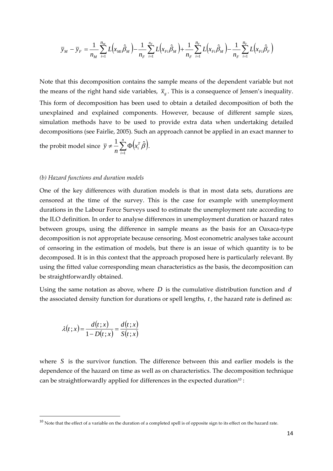$$
\overline{y}_M - \overline{y}_F = \frac{1}{n_M} \sum_{i=1}^{n_M} L(x_{Mi} \hat{\beta}_M) - \frac{1}{n_F} \sum_{i=1}^{n_F} L(x_{Fi} \hat{\beta}_M) + \frac{1}{n_F} \sum_{i=1}^{n_F} L(x_{Fi} \hat{\beta}_M) - \frac{1}{n_F} \sum_{i=1}^{n_F} L(x_{Fi} \hat{\beta}_F)
$$

Note that this decomposition contains the sample means of the dependent variable but not the means of the right hand side variables,  $\bar{x}_e$ . This is a consequence of Jensen's inequality. This form of decomposition has been used to obtain a detailed decomposition of both the unexplained and explained components. However, because of different sample sizes, simulation methods have to be used to provide extra data when undertaking detailed decompositions (see Fairlie, 2005). Such an approach cannot be applied in an exact manner to

the probit model since  $\overline{y} \neq \frac{1}{n} \sum_{i=1}^n \Phi(x_i^T \hat{\beta})$ *n i*  $\frac{1}{n} \sum_{i=1}^n \Phi(x_i^T)$ *y* 1  $\frac{1}{n} \sum_{i=1}^{n} \Phi(x_i^T \hat{\beta}).$ 

#### *(b) Hazard functions and duration models*

One of the key differences with duration models is that in most data sets, durations are censored at the time of the survey. This is the case for example with unemployment durations in the Labour Force Surveys used to estimate the unemployment rate according to the ILO definition. In order to analyse differences in unemployment duration or hazard rates between groups, using the difference in sample means as the basis for an Oaxaca‐type decomposition is not appropriate because censoring. Most econometric analyses take account of censoring in the estimation of models, but there is an issue of which quantity is to be decomposed. It is in this context that the approach proposed here is particularly relevant. By using the fitted value corresponding mean characteristics as the basis, the decomposition can be straightforwardly obtained.

Using the same notation as above, where *D* is the cumulative distribution function and *d* the associated density function for durations or spell lengths, *t* , the hazard rate is defined as:

$$
\lambda(t;x) = \frac{d(t;x)}{1 - D(t;x)} = \frac{d(t;x)}{S(t;x)}
$$

where *S* is the survivor function. The difference between this and earlier models is the dependence of the hazard on time as well as on characteristics. The decomposition technique can be straightforwardly applied for differences in the expected duration $10$  :

 $10$  Note that the effect of a variable on the duration of a completed spell is of opposite sign to its effect on the hazard rate.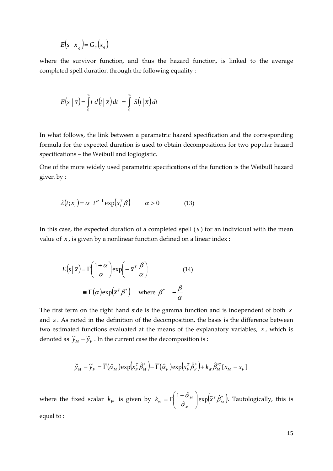$$
E(s \mid \overline{x}_g) = G_g(\overline{x}_g)
$$

where the survivor function, and thus the hazard function, is linked to the average completed spell duration through the following equality :

$$
E(s \mid \overline{x}) = \int_{0}^{\infty} t \ d(t \mid \overline{x}) dt = \int_{0}^{\infty} S(t \mid \overline{x}) dt
$$

In what follows, the link between a parametric hazard specification and the corresponding formula for the expected duration is used to obtain decompositions for two popular hazard specifications – the Weibull and loglogistic.

One of the more widely used parametric specifications of the function is the Weibull hazard given by :

$$
\lambda(t; x_i) = \alpha \ t^{\alpha - 1} \exp\left(x_i^T \beta\right) \qquad \alpha > 0 \tag{13}
$$

In this case, the expected duration of a completed spell (*s* ) for an individual with the mean value of *x* , is given by a nonlinear function defined on a linear index :

$$
E(s|\overline{x}) = \Gamma\left(\frac{1+\alpha}{\alpha}\right) \exp\left(-\overline{x}^T \frac{\beta}{\alpha}\right)
$$
 (14)  

$$
\equiv \overline{\Gamma}(\alpha) \exp(\overline{x}^T \beta^*) \quad \text{where } \beta^* = -\frac{\beta}{\alpha}
$$

The first term on the right hand side is the gamma function and is independent of both *x* and *s* . As noted in the definition of the decomposition, the basis is the difference between two estimated functions evaluated at the means of the explanatory variables, *x*, which is denoted as  $\tilde{y}_M - \tilde{y}_F$ . In the current case the decomposition is :

$$
\widetilde{y}_M - \widetilde{y}_F = \overline{\Gamma}(\hat{\alpha}_M) \exp\left(\overline{x}_F^T \hat{\beta}_M^*\right) - \overline{\Gamma}(\hat{\alpha}_F) \exp\left(\overline{x}_F^T \hat{\beta}_F^*\right) + k_W \hat{\beta}_M^{*T} [\overline{x}_M - \overline{x}_F]
$$

where the fixed scalar  $k_w$  is given by  $k_w = \Gamma\left(\frac{1+\hat{\alpha}_M}{\hat{\alpha}_M}\right) \exp\left(\tilde{x}^T \hat{\beta}_M^*\right)$ *M T M*  $k_{W} = \Gamma \left( \frac{1 + \alpha_{M}}{\hat{\alpha}_{M}} \right) \exp \left( \tilde{x}^{T} \hat{\beta} \right)$  $\frac{\alpha_{_M}}{2}$  $\overline{\phantom{a}}$  $\setminus$  $\parallel$  $\setminus$  $=\Gamma\left(\frac{1+\hat{\alpha}_M}{\hat{\lambda}}\right)\exp\left(\tilde{x}^T\hat{\beta}_M^*\right)$ . Tautologically, this is equal to :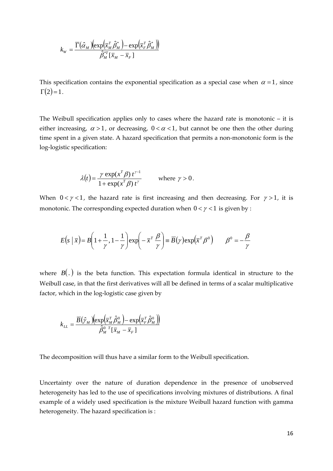$$
k_{W} = \frac{\overline{\Gamma}(\hat{\alpha}_{M}) \left(\exp\left(\overline{x}_{M}^{T} \hat{\beta}_{M}^{*}\right) - \exp\left(\overline{x}_{F}^{T} \hat{\beta}_{M}^{*}\right)\right)}{\hat{\beta}_{M}^{*T} \left[\overline{x}_{M} - \overline{x}_{F}\right]}
$$

This specification contains the exponential specification as a special case when  $\alpha = 1$ , since  $\Gamma(2) = 1.$ 

The Weibull specification applies only to cases where the hazard rate is monotonic – it is either increasing,  $\alpha > 1$ , or decreasing,  $0 < \alpha < 1$ , but cannot be one then the other during time spent in a given state. A hazard specification that permits a non-monotonic form is the log‐logistic specification:

$$
\lambda(t) = \frac{\gamma \exp(x^T \beta) t^{\gamma - 1}}{1 + \exp(x^T \beta) t^{\gamma}} \quad \text{where } \gamma > 0.
$$

When  $0 < \gamma < 1$ , the hazard rate is first increasing and then decreasing. For  $\gamma > 1$ , it is monotonic. The corresponding expected duration when  $0 < \gamma < 1$  is given by :

$$
E(s \mid \overline{x}) = B\left(1 + \frac{1}{\gamma}, 1 - \frac{1}{\gamma}\right) \exp\left(-\overline{x}^T \frac{\beta}{\gamma}\right) \equiv \overline{B}(\gamma) \exp(\overline{x}^T \beta^0) \qquad \beta^0 = -\frac{\beta}{\gamma}
$$

where  $B(.)$  is the beta function. This expectation formula identical in structure to the Weibull case, in that the first derivatives will all be defined in terms of a scalar multiplicative factor, which in the log-logistic case given by

$$
k_{LL} = \frac{\overline{B}(\hat{\gamma}_M)(\exp(\overline{x}_M^T \hat{\beta}_M^0) - \exp(\overline{x}_F^T \hat{\beta}_M^0))}{\hat{\beta}_M^{0 \ T}[\overline{x}_M - \overline{x}_F]}
$$

The decomposition will thus have a similar form to the Weibull specification.

Uncertainty over the nature of duration dependence in the presence of unobserved heterogeneity has led to the use of specifications involving mixtures of distributions. A final example of a widely used specification is the mixture Weibull hazard function with gamma heterogeneity. The hazard specification is :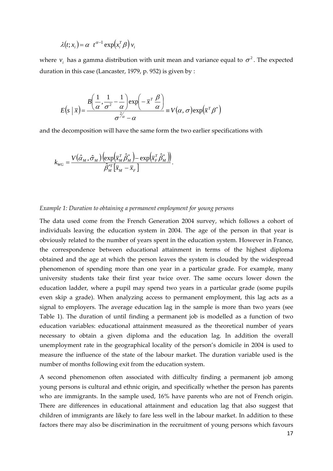$$
\lambda(t; x_i) = \alpha \ t^{\alpha - 1} \exp\left(x_i^T \beta\right) v_i
$$

where  $v_i$  has a gamma distribution with unit mean and variance equal to  $\sigma^2$ . The expected duration in this case (Lancaster, 1979, p. 952) is given by :

$$
E(s \mid \overline{x}) = \frac{B\left(\frac{1}{\alpha}, \frac{1}{\sigma^2} - \frac{1}{\alpha}\right) \exp\left(-\overline{x}^T \frac{\beta}{\alpha}\right)}{\sigma^{2\alpha} - \alpha} \equiv V(\alpha, \sigma) \exp(\overline{x}^T \beta^*)
$$

and the decomposition will have the same form the two earlier specifications with

$$
k_{_{WG}} = \frac{V\big(\hat{\alpha}_{_{M}},\hat{\sigma}_{_{M}}\big)\Big(\!\exp\!\Big(\overline{x}_{_{M}}^{\mathrm{\scriptscriptstyle T}}\hat{\beta}_{_{M}}^{*}\Big)\!-\!\exp\!\Big(\overline{x}_{_{F}}^{\mathrm{\scriptscriptstyle T}}\hat{\beta}_{_{M}}^{*}\Big)\! \Big)}{\hat{\beta}_{_{M}}^{*_{T}}\big[\overline{x}_{_{M}}-\overline{x}_{_{F}}\big]}.
$$

#### *Example 1: Duration to obtaining a permanent employment for young persons*

The data used come from the French Generation 2004 survey, which follows a cohort of individuals leaving the education system in 2004. The age of the person in that year is obviously related to the number of years spent in the education system. However in France, the correspondence between educational attainment in terms of the highest diploma obtained and the age at which the person leaves the system is clouded by the widespread phenomenon of spending more than one year in a particular grade. For example, many university students take their first year twice over. The same occurs lower down the education ladder, where a pupil may spend two years in a particular grade (some pupils even skip a grade). When analyzing access to permanent employment, this lag acts as a signal to employers. The average education lag in the sample is more than two years (see Table 1). The duration of until finding a permanent job is modelled as a function of two education variables: educational attainment measured as the theoretical number of years necessary to obtain a given diploma and the education lag. In addition the overall unemployment rate in the geographical locality of the person's domicile in 2004 is used to measure the influence of the state of the labour market. The duration variable used is the number of months following exit from the education system.

A second phenomenon often associated with difficulty finding a permanent job among young persons is cultural and ethnic origin, and specifically whether the person has parents who are immigrants. In the sample used, 16% have parents who are not of French origin. There are differences in educational attainment and education lag that also suggest that children of immigrants are likely to fare less well in the labour market. In addition to these factors there may also be discrimination in the recruitment of young persons which favours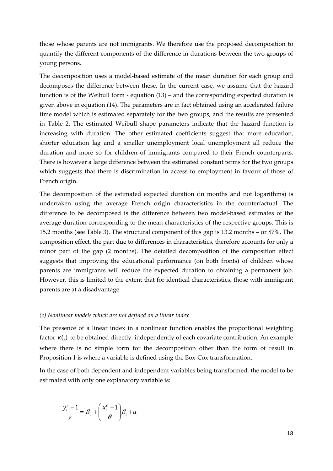those whose parents are not immigrants. We therefore use the proposed decomposition to quantify the different components of the difference in durations between the two groups of young persons.

The decomposition uses a model-based estimate of the mean duration for each group and decomposes the difference between these. In the current case, we assume that the hazard function is of the Weibull form ‐ equation (13) – and the corresponding expected duration is given above in equation (14). The parameters are in fact obtained using an accelerated failure time model which is estimated separately for the two groups, and the results are presented in Table 2. The estimated Weibull shape parameters indicate that the hazard function is increasing with duration. The other estimated coefficients suggest that more education, shorter education lag and a smaller unemployment local unemployment all reduce the duration and more so for children of immigrants compared to their French counterparts. There is however a large difference between the estimated constant terms for the two groups which suggests that there is discrimination in access to employment in favour of those of French origin.

The decomposition of the estimated expected duration (in months and not logarithms) is undertaken using the average French origin characteristics in the counterfactual. The difference to be decomposed is the difference between two model‐based estimates of the average duration corresponding to the mean characteristics of the respective groups. This is 15.2 months (see Table 3). The structural component of this gap is 13.2 months – or 87%. The composition effect, the part due to differences in characteristics, therefore accounts for only a minor part of the gap (2 months). The detailed decomposition of the composition effect suggests that improving the educational performance (on both fronts) of children whose parents are immigrants will reduce the expected duration to obtaining a permanent job. However, this is limited to the extent that for identical characteristics, those with immigrant parents are at a disadvantage.

#### *(c) Nonlinear models which are not defined on a linear index*

The presence of a linear index in a nonlinear function enables the proportional weighting factor *k*(.) to be obtained directly, independently of each covariate contribution. An example where there is no simple form for the decomposition other than the form of result in Proposition 1 is where a variable is defined using the Box‐Cox transformation.

In the case of both dependent and independent variables being transformed, the model to be estimated with only one explanatory variable is:

$$
\frac{y_i^{\gamma} - 1}{\gamma} = \beta_0 + \left(\frac{x_i^{\theta} - 1}{\theta}\right)\beta_1 + u_i
$$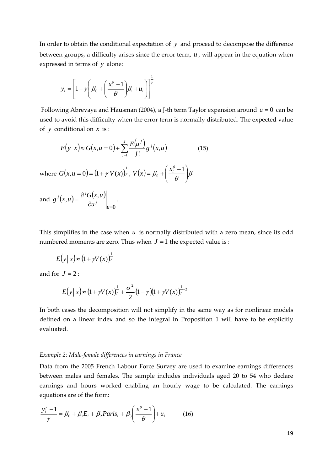In order to obtain the conditional expectation of *y* and proceed to decompose the difference between groups, a difficulty arises since the error term, *u* , will appear in the equation when expressed in terms of *y* alone:

$$
y_i = \left[1 + \gamma \left(\beta_0 + \left(\frac{x_i^{\theta} - 1}{\theta}\right)\beta_1 + u_i\right)\right]^{\frac{1}{\gamma}}
$$

Following Abrevaya and Hausman (2004), a J-th term Taylor expansion around  $u = 0$  can be used to avoid this difficulty when the error term is normally distributed. The expected value of *y* conditional on *x* is :

$$
E(y|x) \approx G(x, u = 0) + \sum_{j=1}^{J} \frac{E(u^j)}{j!} g^j(x, u)
$$
 (15)

where  $G(x, u = 0) = (1 + \gamma V(x))_{\gamma}^{\frac{1}{2}}$ ,  $V(x) = \beta_0 + \left(\frac{x_i^{\theta} - 1}{\theta}\right)\beta_1$  $\overline{\phantom{a}}$ J  $\setminus$  $\overline{\phantom{a}}$  $\overline{\mathcal{L}}$  $V(x) = \beta_0 + \left(\frac{x_i^{\theta} - 1}{2}\right)\beta_1$ 

and  $g^{j}(x, u) = \frac{\partial^{j} G(x, u)}{\partial x^{j}}$ 0  $(u) = \frac{\partial^j G(x, u)}{\partial x^j}$  $\partial u^j$   $\Big|_{u=1}$  $=\frac{\partial}{\partial x}$ *u j*  $j(x, y) = \partial^{i}$ *u*  $g^{j}(x, u) = \frac{\partial^{j} G(x, u)}{\partial x^{j}}$  .

This simplifies in the case when *u* is normally distributed with a zero mean, since its odd numbered moments are zero. Thus when  $J = 1$  the expected value is :

$$
E(y|x) \approx (1 + \gamma V(x))_{\gamma}^{\frac{1}{2}}
$$

and for  $J = 2$ :

$$
E(y|x) \approx (1 + \gamma V(x))_{\gamma}^{\frac{1}{2}} + \frac{\sigma^2}{2} (1 - \gamma)(1 + \gamma V(x))_{\gamma}^{\frac{1}{2} - 2}
$$

In both cases the decomposition will not simplify in the same way as for nonlinear models defined on a linear index and so the integral in Proposition 1 will have to be explicitly evaluated.

#### *Example 2: Male‐female differences in earnings in France*

Data from the 2005 French Labour Force Survey are used to examine earnings differences between males and females. The sample includes individuals aged 20 to 54 who declare earnings and hours worked enabling an hourly wage to be calculated. The earnings equations are of the form:

$$
\frac{y_i^{\gamma}-1}{\gamma} = \beta_0 + \beta_1 E_i + \beta_2 Paris_i + \beta_3 \left(\frac{x_i^{\theta}-1}{\theta}\right) + u_i \tag{16}
$$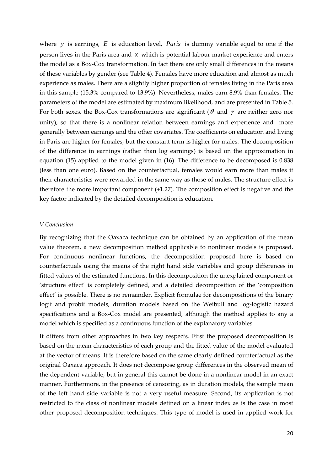where *y* is earnings, *E* is education level, *Paris* is dummy variable equal to one if the person lives in the Paris area and *x* which is potential labour market experience and enters the model as a Box‐Cox transformation. In fact there are only small differences in the means of these variables by gender (see Table 4). Females have more education and almost as much experience as males. There are a slightly higher proportion of females living in the Paris area in this sample (15.3% compared to 13.9%). Nevertheless, males earn 8.9% than females. The parameters of the model are estimated by maximum likelihood, and are presented in Table 5. For both sexes, the Box-Cox transformations are significant ( $\theta$  and  $\gamma$  are neither zero nor unity), so that there is a nonlinear relation between earnings and experience and more generally between earnings and the other covariates. The coefficients on education and living in Paris are higher for females, but the constant term is higher for males. The decomposition of the difference in earnings (rather than log earnings) is based on the approximation in equation (15) applied to the model given in (16). The difference to be decomposed is 0.838 (less than one euro). Based on the counterfactual, females would earn more than males if their characteristics were rewarded in the same way as those of males. The structure effect is therefore the more important component (+1.27). The composition effect is negative and the key factor indicated by the detailed decomposition is education.

#### *V Conclusion*

By recognizing that the Oaxaca technique can be obtained by an application of the mean value theorem, a new decomposition method applicable to nonlinear models is proposed. For continuous nonlinear functions, the decomposition proposed here is based on counterfactuals using the means of the right hand side variables and group differences in fitted values of the estimated functions. In this decomposition the unexplained component or 'structure effect' is completely defined, and a detailed decomposition of the 'composition effect' is possible. There is no remainder. Explicit formulae for decompositions of the binary logit and probit models, duration models based on the Weibull and log‐logistic hazard specifications and a Box‐Cox model are presented, although the method applies to any a model which is specified as a continuous function of the explanatory variables.

It differs from other approaches in two key respects. First the proposed decomposition is based on the mean characteristics of each group and the fitted value of the model evaluated at the vector of means. It is therefore based on the same clearly defined counterfactual as the original Oaxaca approach. It does not decompose group differences in the observed mean of the dependent variable; but in general this cannot be done in a nonlinear model in an exact manner. Furthermore, in the presence of censoring, as in duration models, the sample mean of the left hand side variable is not a very useful measure. Second, its application is not restricted to the class of nonlinear models defined on a linear index as is the case in most other proposed decomposition techniques. This type of model is used in applied work for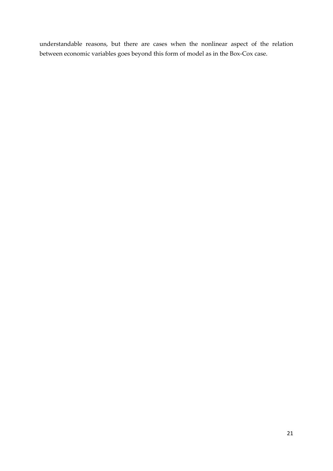understandable reasons, but there are cases when the nonlinear aspect of the relation between economic variables goes beyond this form of model as in the Box‐Cox case.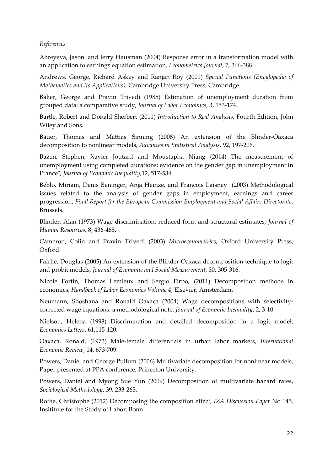#### *References*

Abreyeva, Jason. and Jerry Hausman (2004) Response error in a transformation model with an application to earnings equation estimation, *Econometrics Journal*, 7, 366‐388.

Andrews, George, Richard Askey and Ranjan Roy (2001) *Special Functions (Encylopedia of Mathematics and its Applications)*, Cambridge University Press, Cambridge.

Baker, George and Pravin Trivedi (1985) Estimation of unemployment duration from grouped data: a comparative study, *Journal of Labor Economics*, 3, 153‐174.

Bartle, Robert and Donald Sherbert (2011) *Introduction to Real Analysis*, Fourth Edition, John Wiley and Sons.

Bauer, Thomas and Mattias Sinning (2008) An extension of the Blinder‐Oaxaca decomposition to nonlinear models, *Advances in Statistical Analysis*, 92, 197‐206.

Bazen, Stephen, Xavier Joutard and Moustapha Niang (2014) The measurement of unemployment using completed durations: evidence on the gender gap in unemployment in Franceʺ, *Journal of Economic Inequality*,12, 517‐534.

Beblo, Miriam, Denis Beninger, Anja Heinze, and Francois Laisney (2003) Methodological issues related to the analysis of gender gaps in employment, earnings and career progression, *Final Report for the European Commission Employment and Social Affairs Directorate*, Brussels.

Blinder, Alan (1973) Wage discrimination: reduced form and structural estimates, *Journal of Human Resources*, 8, 436‐465.

Cameron, Colin and Pravin Trivedi (2003) *Microeconometrics*, Oxford University Press, Oxford.

Fairlie, Douglas (2005) An extension of the Blinder‐Oaxaca decomposition technique to logit and probit models, *Journal of Economic and Social Measurement*, 30, 305‐316.

Nicole Fortin, Thomas Lemieux and Sergio Firpo, (2011) Decomposition methods in economics, *Handbook of Labor Economics Volume 4*, Elsevier, Amsterdam.

Neumann, Shoshana and Ronald Oaxaca (2004) Wage decompositions with selectivity‐ corrected wage equations: a methodological note, *Journal of Economic Inequality*, 2, 3‐10.

Nielson, Helena (1998) Discrimination and detailed decomposition in a logit model, *Economics Letters*, 61,115‐120.

Oaxaca, Ronald, (1973) Male‐female differentials in urban labor markets, *International Economic Review*, 14, 673‐709.

Powers, Daniel and George Pullum (2006) Multivariate decomposition for nonlinear models, Paper presented at PPA conference, Princeton University.

Powers, Daniel and Myong Sue Yun (2009) Decomposition of multivariate hazard rates, *Sociological Methodology*, 39, 233‐263.

Rothe, Christophe (2012) Decomposing the composition effect, *IZA Discussion Paper* No 145, Insititute for the Study of Labor, Bonn.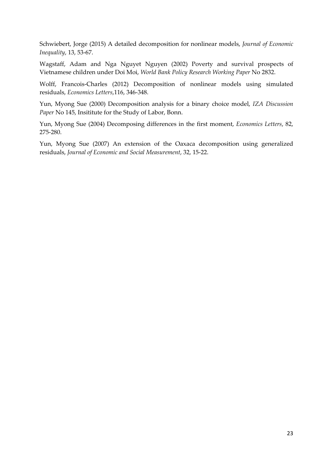Schwiebert, Jorge (2015) A detailed decomposition for nonlinear models, *Journal of Economic Inequality*, 13, 53‐67.

Wagstaff, Adam and Nga Nguyet Nguyen (2002) Poverty and survival prospects of Vietnamese children under Doi Moi, *World Bank Policy Research Working Paper* No 2832.

Wolff, Francois-Charles (2012) Decomposition of nonlinear models using simulated residuals, *Economics Letters*,116, 346‐348.

Yun, Myong Sue (2000) Decomposition analysis for a binary choice model, *IZA Discussion Paper* No 145, Insititute for the Study of Labor, Bonn.

Yun, Myong Sue (2004) Decomposing differences in the first moment, *Economics Letters*, 82, 275‐280.

Yun, Myong Sue (2007) An extension of the Oaxaca decomposition using generalized residuals, *Journal of Economic and Social Measurement*, 32, 15‐22.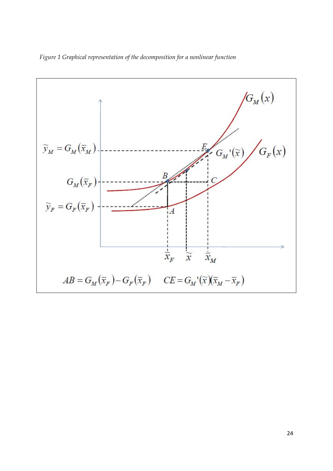

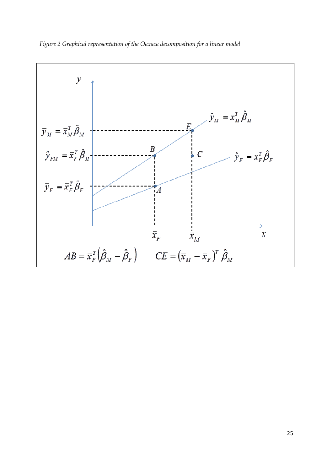

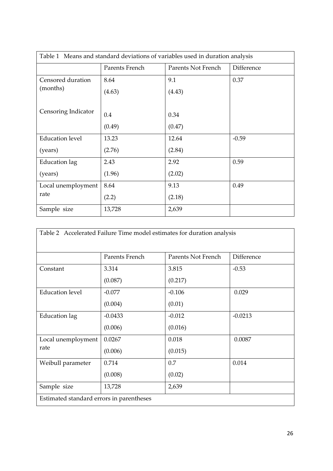| Table 1 Means and standard deviations of variables used in duration analysis |                |                    |            |
|------------------------------------------------------------------------------|----------------|--------------------|------------|
|                                                                              | Parents French | Parents Not French | Difference |
| Censored duration                                                            | 8.64           | 9.1                | 0.37       |
| (months)                                                                     | (4.63)         | (4.43)             |            |
|                                                                              |                |                    |            |
| Censoring Indicator                                                          | 0.4            | 0.34               |            |
|                                                                              | (0.49)         | (0.47)             |            |
| <b>Education level</b>                                                       | 13.23          | 12.64              | $-0.59$    |
| (years)                                                                      | (2.76)         | (2.84)             |            |
| <b>Education</b> lag                                                         | 2.43           | 2.92               | 0.59       |
| (years)                                                                      | (1.96)         | (2.02)             |            |
| Local unemployment                                                           | 8.64           | 9.13               | 0.49       |
| rate                                                                         | (2.2)          | (2.18)             |            |
| Sample size                                                                  | 13,728         | 2,639              |            |

| Table 2 Accelerated Failure Time model estimates for duration analysis |                |                    |            |
|------------------------------------------------------------------------|----------------|--------------------|------------|
|                                                                        | Parents French | Parents Not French | Difference |
| Constant                                                               | 3.314          | 3.815              | $-0.53$    |
|                                                                        | (0.087)        | (0.217)            |            |
| <b>Education level</b>                                                 | $-0.077$       | $-0.106$           | 0.029      |
|                                                                        | (0.004)        | (0.01)             |            |
| Education lag                                                          | $-0.0433$      | $-0.012$           | $-0.0213$  |
|                                                                        | (0.006)        | (0.016)            |            |
| Local unemployment                                                     | 0.0267         | 0.018              | 0.0087     |
| rate                                                                   | (0.006)        | (0.015)            |            |
| Weibull parameter                                                      | 0.714          | 0.7                | 0.014      |
|                                                                        | (0.008)        | (0.02)             |            |
| Sample size                                                            | 13,728         | 2,639              |            |
| Estimated standard errors in parentheses                               |                |                    |            |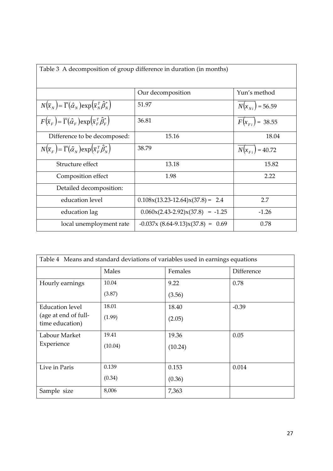| Table 3 A decomposition of group difference in duration (in months)                                        |                                     |                      |
|------------------------------------------------------------------------------------------------------------|-------------------------------------|----------------------|
|                                                                                                            |                                     |                      |
|                                                                                                            | Our decomposition                   | Yun's method         |
| $N(\overline{x}_N) = \overline{\Gamma}(\hat{\alpha}_N) \exp(\overline{x}_N^T \hat{\beta}_N^*)$             | 51.97                               | $N(x_{N_i})$ = 56.59 |
| $F(\overline{x}_F) = \overline{\Gamma}(\hat{\alpha}_F) \exp(\overline{x}_F^T \hat{\beta}_F^*)$             | 36.81                               | $F(x_{Fi}) = 38.55$  |
| Difference to be decomposed:                                                                               | 15.16                               | 18.04                |
| $N(\overline{x}_{F}) = \overline{\Gamma}(\hat{\alpha}_{N}) \exp(\overline{x}_{F}^{T} \hat{\beta}_{N}^{*})$ | 38.79                               | $N(x_{Fi}) = 40.72$  |
| Structure effect                                                                                           | 13.18                               | 15.82                |
| Composition effect                                                                                         | 1.98                                | 2.22                 |
| Detailed decomposition:                                                                                    |                                     |                      |
| education level                                                                                            | $0.108x(13.23-12.64)x(37.8) = 2.4$  | 2.7                  |
| education lag                                                                                              | $0.060x(2.43-2.92)x(37.8) = -1.25$  | $-1.26$              |
| local unemployment rate                                                                                    | $-0.037x (8.64-9.13)x(37.8) = 0.69$ | 0.78                 |

| Table 4 Means and standard deviations of variables used in earnings equations |         |         |            |
|-------------------------------------------------------------------------------|---------|---------|------------|
|                                                                               | Males   | Females | Difference |
| Hourly earnings                                                               | 10.04   | 9.22    | 0.78       |
|                                                                               | (3.87)  | (3.56)  |            |
| Education level                                                               | 18.01   | 18.40   | $-0.39$    |
| (age at end of full-<br>time education)                                       | (1.99)  | (2.05)  |            |
| Labour Market                                                                 | 19.41   | 19.36   | 0.05       |
| Experience                                                                    | (10.04) | (10.24) |            |
| Live in Paris                                                                 | 0.139   | 0.153   | 0.014      |
|                                                                               | (0.34)  | (0.36)  |            |
| Sample size                                                                   | 8,006   | 7,363   |            |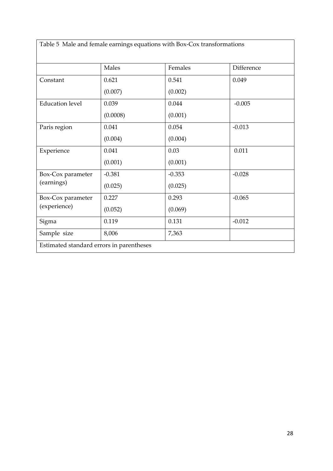Table 5 Male and female earnings equations with Box‐Cox transformations

|                                          | Males    | Females  | Difference |
|------------------------------------------|----------|----------|------------|
| Constant                                 | 0.621    | 0.541    | 0.049      |
|                                          | (0.007)  | (0.002)  |            |
| <b>Education level</b>                   | 0.039    | 0.044    | $-0.005$   |
|                                          | (0.0008) | (0.001)  |            |
| Paris region                             | 0.041    | 0.054    | $-0.013$   |
|                                          | (0.004)  | (0.004)  |            |
| Experience                               | 0.041    | 0.03     | 0.011      |
|                                          | (0.001)  | (0.001)  |            |
| Box-Cox parameter                        | $-0.381$ | $-0.353$ | $-0.028$   |
| (earnings)                               | (0.025)  | (0.025)  |            |
| Box-Cox parameter                        | 0.227    | 0.293    | $-0.065$   |
| (experience)                             | (0.052)  | (0.069)  |            |
| Sigma                                    | 0.119    | 0.131    | $-0.012$   |
| Sample size                              | 8,006    | 7,363    |            |
| Estimated standard errors in parentheses |          |          |            |